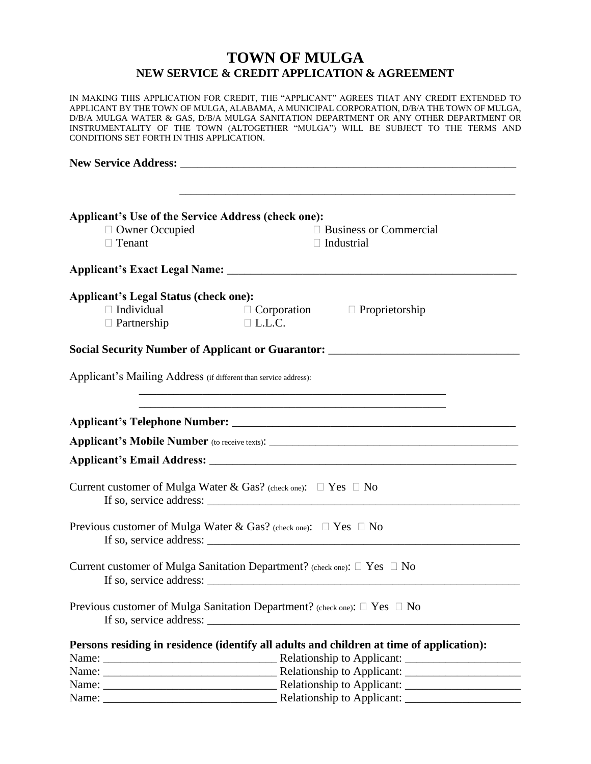# **TOWN OF MULGA NEW SERVICE & CREDIT APPLICATION & AGREEMENT**

IN MAKING THIS APPLICATION FOR CREDIT, THE "APPLICANT" AGREES THAT ANY CREDIT EXTENDED TO APPLICANT BY THE TOWN OF MULGA, ALABAMA, A MUNICIPAL CORPORATION, D/B/A THE TOWN OF MULGA, D/B/A MULGA WATER & GAS, D/B/A MULGA SANITATION DEPARTMENT OR ANY OTHER DEPARTMENT OR INSTRUMENTALITY OF THE TOWN (ALTOGETHER "MULGA") WILL BE SUBJECT TO THE TERMS AND CONDITIONS SET FORTH IN THIS APPLICATION. **New Service Address:** \_\_\_\_\_\_\_\_\_\_\_\_\_\_\_\_\_\_\_\_\_\_\_\_\_\_\_\_\_\_\_\_\_\_\_\_\_\_\_\_\_\_\_\_\_\_\_\_\_\_\_\_\_\_\_\_\_\_ \_\_\_\_\_\_\_\_\_\_\_\_\_\_\_\_\_\_\_\_\_\_\_\_\_\_\_\_\_\_\_\_\_\_\_\_\_\_\_\_\_\_\_\_\_\_\_\_\_\_\_\_\_\_\_\_\_\_ **Applicant's Use of the Service Address (check one):** □ Owner Occupied Business or Commercial  $\Box$  Tenant  $\Box$  Industrial **Applicant's Exact Legal Name:** \_\_\_\_\_\_\_\_\_\_\_\_\_\_\_\_\_\_\_\_\_\_\_\_\_\_\_\_\_\_\_\_\_\_\_\_\_\_\_\_\_\_\_\_\_\_\_\_\_\_ **Applicant's Legal Status (check one):**  $\Box$  Individual  $\Box$  Corporation  $\Box$  Proprietorship  $\Box$  Partnership  $\Box$  L.L.C. Social Security Number of Applicant or Guarantor: \_\_\_\_\_\_\_\_\_\_\_\_\_\_\_\_\_\_\_\_\_\_\_\_\_\_\_\_\_\_ Applicant's Mailing Address (if different than service address): \_\_\_\_\_\_\_\_\_\_\_\_\_\_\_\_\_\_\_\_\_\_\_\_\_\_\_\_\_\_\_\_\_\_\_\_\_\_\_\_\_\_\_\_\_\_\_\_\_\_\_\_\_ \_\_\_\_\_\_\_\_\_\_\_\_\_\_\_\_\_\_\_\_\_\_\_\_\_\_\_\_\_\_\_\_\_\_\_\_\_\_\_\_\_\_\_\_\_\_\_\_\_\_\_\_\_ **Applicant's Telephone Number:** \_\_\_\_\_\_\_\_\_\_\_\_\_\_\_\_\_\_\_\_\_\_\_\_\_\_\_\_\_\_\_\_\_\_\_\_\_\_\_\_\_\_\_\_\_\_\_\_\_ **Applicant's Mobile Number** (to receive texts): **Applicant's Email Address:** \_\_\_\_\_\_\_\_\_\_\_\_\_\_\_\_\_\_\_\_\_\_\_\_\_\_\_\_\_\_\_\_\_\_\_\_\_\_\_\_\_\_\_\_\_\_\_\_\_\_\_\_\_ Current customer of Mulga Water & Gas? (check one):  $\Box$  Yes  $\Box$  No If so, service address: Previous customer of Mulga Water & Gas? (check one):  $\Box$  Yes  $\Box$  No If so, service address: \_\_\_\_\_\_\_\_\_\_\_\_\_\_\_\_\_\_\_\_\_\_\_\_\_\_\_\_\_\_\_\_\_\_\_\_\_\_\_\_\_\_\_\_\_\_\_\_\_\_\_\_\_\_ Current customer of Mulga Sanitation Department? (check one):  $\Box$  Yes  $\Box$  No If so, service address: Previous customer of Mulga Sanitation Department? (check one):  $\Box$  Yes  $\Box$  No If so, service address: **Persons residing in residence (identify all adults and children at time of application):** Name: \_\_\_\_\_\_\_\_\_\_\_\_\_\_\_\_\_\_\_\_\_\_\_\_\_\_\_\_\_\_ Relationship to Applicant: \_\_\_\_\_\_\_\_\_\_\_\_\_\_\_\_\_\_\_\_ Name: \_\_\_\_\_\_\_\_\_\_\_\_\_\_\_\_\_\_\_\_\_\_\_\_\_\_\_\_\_\_ Relationship to Applicant: \_\_\_\_\_\_\_\_\_\_\_\_\_\_\_\_\_\_\_\_ Name: \_\_\_\_\_\_\_\_\_\_\_\_\_\_\_\_\_\_\_\_\_\_\_\_\_\_\_\_\_\_ Relationship to Applicant: \_\_\_\_\_\_\_\_\_\_\_\_\_\_\_\_\_\_\_\_ Name: \_\_\_\_\_\_\_\_\_\_\_\_\_\_\_\_\_\_\_\_\_\_\_\_\_\_\_\_\_\_ Relationship to Applicant: \_\_\_\_\_\_\_\_\_\_\_\_\_\_\_\_\_\_\_\_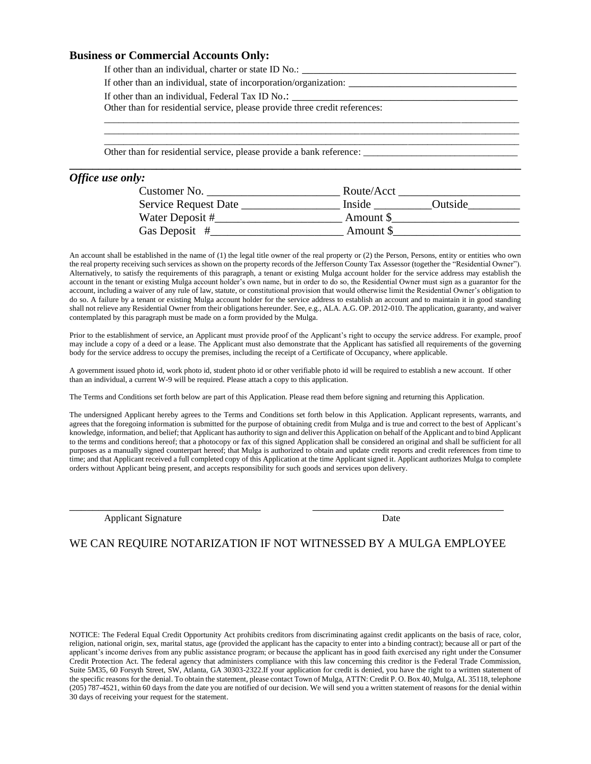## **Business or Commercial Accounts Only:**

|                  | If other than an individual, state of incorporation/organization:           |  |
|------------------|-----------------------------------------------------------------------------|--|
|                  |                                                                             |  |
|                  | Other than for residential service, please provide three credit references: |  |
|                  |                                                                             |  |
|                  |                                                                             |  |
|                  |                                                                             |  |
| Office use only: |                                                                             |  |

## *Office use only:*

| Customer No.                | Route/Acct |         |
|-----------------------------|------------|---------|
| <b>Service Request Date</b> | Inside     | Outside |
| Water Deposit #             | Amount \$  |         |
| Gas Deposit $#$             | Amount \$  |         |

An account shall be established in the name of (1) the legal title owner of the real property or (2) the Person, Persons, entity or entities who own the real property receiving such services as shown on the property records of the Jefferson County Tax Assessor (together the "Residential Owner"). Alternatively, to satisfy the requirements of this paragraph, a tenant or existing Mulga account holder for the service address may establish the account in the tenant or existing Mulga account holder's own name, but in order to do so, the Residential Owner must sign as a guarantor for the account, including a waiver of any rule of law, statute, or constitutional provision that would otherwise limit the Residential Owner's obligation to do so. A failure by a tenant or existing Mulga account holder for the service address to establish an account and to maintain it in good standing shall not relieve any Residential Owner from their obligations hereunder. See, e.g., ALA. A.G. OP. 2012-010. The application, guaranty, and waiver contemplated by this paragraph must be made on a form provided by the Mulga.

Prior to the establishment of service, an Applicant must provide proof of the Applicant's right to occupy the service address. For example, proof may include a copy of a deed or a lease. The Applicant must also demonstrate that the Applicant has satisfied all requirements of the governing body for the service address to occupy the premises, including the receipt of a Certificate of Occupancy, where applicable.

A government issued photo id, work photo id, student photo id or other verifiable photo id will be required to establish a new account. If other than an individual, a current W-9 will be required. Please attach a copy to this application.

The Terms and Conditions set forth below are part of this Application. Please read them before signing and returning this Application.

The undersigned Applicant hereby agrees to the Terms and Conditions set forth below in this Application. Applicant represents, warrants, and agrees that the foregoing information is submitted for the purpose of obtaining credit from Mulga and is true and correct to the best of Applicant's knowledge, information, and belief; that Applicant has authority to sign and deliver this Application on behalf of the Applicant and to bind Applicant to the terms and conditions hereof; that a photocopy or fax of this signed Application shall be considered an original and shall be sufficient for all purposes as a manually signed counterpart hereof; that Mulga is authorized to obtain and update credit reports and credit references from time to time; and that Applicant received a full completed copy of this Application at the time Applicant signed it. Applicant authorizes Mulga to complete orders without Applicant being present, and accepts responsibility for such goods and services upon delivery.

Applicant Signature Date

## WE CAN REQUIRE NOTARIZATION IF NOT WITNESSED BY A MULGA EMPLOYEE

\_\_\_\_\_\_\_\_\_\_\_\_\_\_\_\_\_\_\_\_\_\_\_\_\_\_\_\_\_\_\_\_\_ \_\_\_\_\_\_\_\_\_\_\_\_\_\_\_\_\_\_\_\_\_\_\_\_\_\_\_\_\_\_\_\_\_

NOTICE: The Federal Equal Credit Opportunity Act prohibits creditors from discriminating against credit applicants on the basis of race, color, religion, national origin, sex, marital status, age (provided the applicant has the capacity to enter into a binding contract); because all or part of the applicant's income derives from any public assistance program; or because the applicant has in good faith exercised any right under the Consumer Credit Protection Act. The federal agency that administers compliance with this law concerning this creditor is the Federal Trade Commission, Suite 5M35, 60 Forsyth Street, SW, Atlanta, GA 30303-2322.If your application for credit is denied, you have the right to a written statement of the specific reasons for the denial. To obtain the statement, please contact Town of Mulga, ATTN: Credit P. O. Box 40, Mulga, AL 35118, telephone (205) 787-4521, within 60 days from the date you are notified of our decision. We will send you a written statement of reasons for the denial within 30 days of receiving your request for the statement.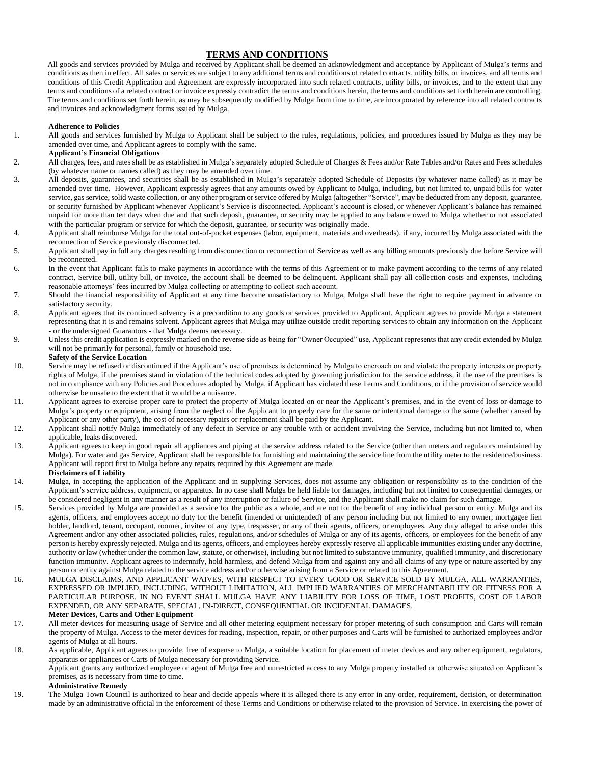## **TERMS AND CONDITIONS**

All goods and services provided by Mulga and received by Applicant shall be deemed an acknowledgment and acceptance by Applicant of Mulga's terms and conditions as then in effect. All sales or services are subject to any additional terms and conditions of related contracts, utility bills, or invoices, and all terms and conditions of this Credit Application and Agreement are expressly incorporated into such related contracts, utility bills, or invoices, and to the extent that any terms and conditions of a related contract or invoice expressly contradict the terms and conditions herein, the terms and conditions set forth herein are controlling. The terms and conditions set forth herein, as may be subsequently modified by Mulga from time to time, are incorporated by reference into all related contracts and invoices and acknowledgment forms issued by Mulga.

#### **Adherence to Policies**

1. All goods and services furnished by Mulga to Applicant shall be subject to the rules, regulations, policies, and procedures issued by Mulga as they may be amended over time, and Applicant agrees to comply with the same.

## **Applicant's Financial Obligations**

- 2. All charges, fees, and rates shall be as established in Mulga's separately adopted Schedule of Charges & Fees and/or Rate Tables and/or Rates and Fees schedules (by whatever name or names called) as they may be amended over time.
- 3. All deposits, guarantees, and securities shall be as established in Mulga's separately adopted Schedule of Deposits (by whatever name called) as it may be amended over time. However, Applicant expressly agrees that any amounts owed by Applicant to Mulga, including, but not limited to, unpaid bills for water service, gas service, solid waste collection, or any other program or service offered by Mulga (altogether "Service", may be deducted from any deposit, guarantee, or security furnished by Applicant whenever Applicant's Service is disconnected, Applicant's account is closed, or whenever Applicant's balance has remained unpaid for more than ten days when due and that such deposit, guarantee, or security may be applied to any balance owed to Mulga whether or not associated with the particular program or service for which the deposit, guarantee, or security was originally made.
- 4. Applicant shall reimburse Mulga for the total out-of-pocket expenses (labor, equipment, materials and overheads), if any, incurred by Mulga associated with the reconnection of Service previously disconnected.
- 5. Applicant shall pay in full any charges resulting from disconnection or reconnection of Service as well as any billing amounts previously due before Service will be reconnected.
- 6. In the event that Applicant fails to make payments in accordance with the terms of this Agreement or to make payment according to the terms of any related contract, Service bill, utility bill, or invoice, the account shall be deemed to be delinquent. Applicant shall pay all collection costs and expenses, including reasonable attorneys' fees incurred by Mulga collecting or attempting to collect such account.
- 7. Should the financial responsibility of Applicant at any time become unsatisfactory to Mulga, Mulga shall have the right to require payment in advance or satisfactory security.
- 8. Applicant agrees that its continued solvency is a precondition to any goods or services provided to Applicant. Applicant agrees to provide Mulga a statement representing that it is and remains solvent. Applicant agrees that Mulga may utilize outside credit reporting services to obtain any information on the Applicant - or the undersigned Guarantors - that Mulga deems necessary.
- 9. Unless this credit application is expressly marked on the reverse side as being for "Owner Occupied" use, Applicant represents that any credit extended by Mulga will not be primarily for personal, family or household use.

## **Safety of the Service Location**

- 10. Service may be refused or discontinued if the Applicant's use of premises is determined by Mulga to encroach on and violate the property interests or property rights of Mulga, if the premises stand in violation of the technical codes adopted by governing jurisdiction for the service address, if the use of the premises is not in compliance with any Policies and Procedures adopted by Mulga, if Applicant has violated these Terms and Conditions, or if the provision of service would otherwise be unsafe to the extent that it would be a nuisance.
- 11. Applicant agrees to exercise proper care to protect the property of Mulga located on or near the Applicant's premises, and in the event of loss or damage to Mulga's property or equipment, arising from the neglect of the Applicant to properly care for the same or intentional damage to the same (whether caused by Applicant or any other party), the cost of necessary repairs or replacement shall be paid by the Applicant.
- 12. Applicant shall notify Mulga immediately of any defect in Service or any trouble with or accident involving the Service, including but not limited to, when applicable, leaks discovered.
- 13. Applicant agrees to keep in good repair all appliances and piping at the service address related to the Service (other than meters and regulators maintained by Mulga). For water and gas Service, Applicant shall be responsible for furnishing and maintaining the service line from the utility meter to the residence/business. Applicant will report first to Mulga before any repairs required by this Agreement are made.

#### **Disclaimers of Liability**

- 14. Mulga, in accepting the application of the Applicant and in supplying Services, does not assume any obligation or responsibility as to the condition of the Applicant's service address, equipment, or apparatus. In no case shall Mulga be held liable for damages, including but not limited to consequential damages, or be considered negligent in any manner as a result of any interruption or failure of Service, and the Applicant shall make no claim for such damage.
- 15. Services provided by Mulga are provided as a service for the public as a whole, and are not for the benefit of any individual person or entity. Mulga and its agents, officers, and employees accept no duty for the benefit (intended or unintended) of any person including but not limited to any owner, mortgagee lien holder, landlord, tenant, occupant, roomer, invitee of any type, trespasser, or any of their agents, officers, or employees. Any duty alleged to arise under this Agreement and/or any other associated policies, rules, regulations, and/or schedules of Mulga or any of its agents, officers, or employees for the benefit of any person is hereby expressly rejected. Mulga and its agents, officers, and employees hereby expressly reserve all applicable immunities existing under any doctrine, authority or law (whether under the common law, statute, or otherwise), including but not limited to substantive immunity, qualified immunity, and discretionary function immunity. Applicant agrees to indemnify, hold harmless, and defend Mulga from and against any and all claims of any type or nature asserted by any person or entity against Mulga related to the service address and/or otherwise arising from a Service or related to this Agreement.
- 16. MULGA DISCLAIMS, AND APPLICANT WAIVES, WITH RESPECT TO EVERY GOOD OR SERVICE SOLD BY MULGA, ALL WARRANTIES, EXPRESSED OR IMPLIED, INCLUDING, WITHOUT LIMITATION, ALL IMPLIED WARRANTIES OF MERCHANTABILITY OR FITNESS FOR A PARTICULAR PURPOSE. IN NO EVENT SHALL MULGA HAVE ANY LIABILITY FOR LOSS OF TIME, LOST PROFITS, COST OF LABOR EXPENDED, OR ANY SEPARATE, SPECIAL, IN-DIRECT, CONSEQUENTIAL OR INCIDENTAL DAMAGES. **Meter Devices, Carts and Other Equipment**
- 17. All meter devices for measuring usage of Service and all other metering equipment necessary for proper metering of such consumption and Carts will remain the property of Mulga. Access to the meter devices for reading, inspection, repair, or other purposes and Carts will be furnished to authorized employees and/or agents of Mulga at all hours.

18. As applicable, Applicant agrees to provide, free of expense to Mulga, a suitable location for placement of meter devices and any other equipment, regulators, apparatus or appliances or Carts of Mulga necessary for providing Service.

Applicant grants any authorized employee or agent of Mulga free and unrestricted access to any Mulga property installed or otherwise situated on Applicant's premises, as is necessary from time to time.

### **Administrative Remedy**

19. The Mulga Town Council is authorized to hear and decide appeals where it is alleged there is any error in any order, requirement, decision, or determination made by an administrative official in the enforcement of these Terms and Conditions or otherwise related to the provision of Service. In exercising the power of